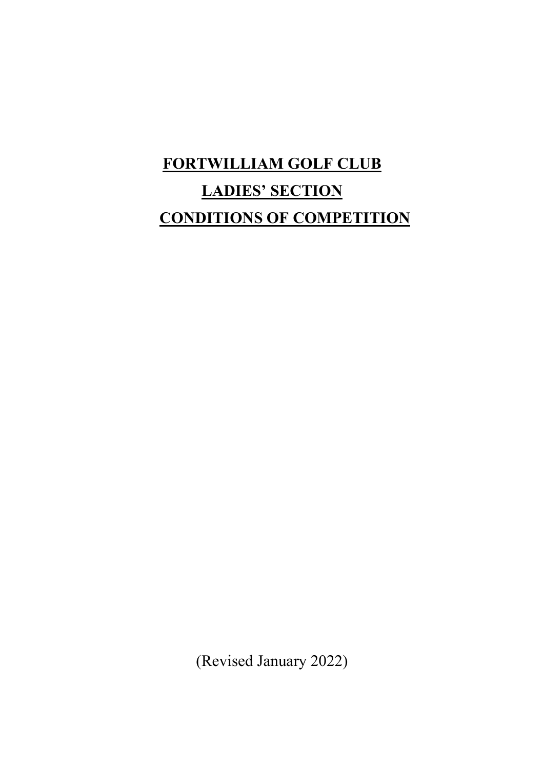# FORTWILLIAM GOLF CLUB LADIES' SECTION CONDITIONS OF COMPETITION

(Revised January 2022)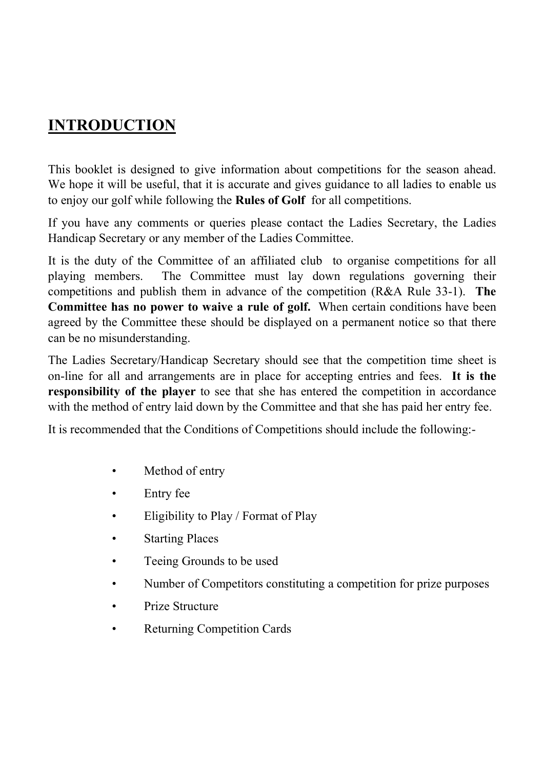## INTRODUCTION

This booklet is designed to give information about competitions for the season ahead. We hope it will be useful, that it is accurate and gives guidance to all ladies to enable us to enjoy our golf while following the Rules of Golf for all competitions.

If you have any comments or queries please contact the Ladies Secretary, the Ladies Handicap Secretary or any member of the Ladies Committee.

It is the duty of the Committee of an affiliated club to organise competitions for all playing members. The Committee must lay down regulations governing their competitions and publish them in advance of the competition (R&A Rule 33-1). The Committee has no power to waive a rule of golf. When certain conditions have been agreed by the Committee these should be displayed on a permanent notice so that there can be no misunderstanding.

The Ladies Secretary/Handicap Secretary should see that the competition time sheet is on-line for all and arrangements are in place for accepting entries and fees. It is the responsibility of the player to see that she has entered the competition in accordance with the method of entry laid down by the Committee and that she has paid her entry fee.

It is recommended that the Conditions of Competitions should include the following:-

- Method of entry
- Entry fee
- Eligibility to Play / Format of Play
- Starting Places
- Teeing Grounds to be used
- Number of Competitors constituting a competition for prize purposes
- Prize Structure
- Returning Competition Cards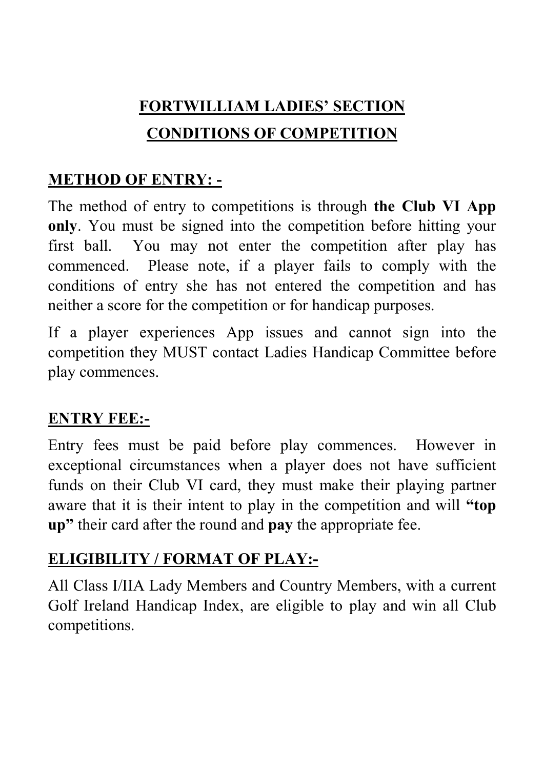# FORTWILLIAM LADIES' SECTION CONDITIONS OF COMPETITION

# METHOD OF ENTRY: -

The method of entry to competitions is through the Club VI App only. You must be signed into the competition before hitting your first ball. You may not enter the competition after play has commenced. Please note, if a player fails to comply with the conditions of entry she has not entered the competition and has neither a score for the competition or for handicap purposes.

If a player experiences App issues and cannot sign into the competition they MUST contact Ladies Handicap Committee before play commences.

# ENTRY FEE:-

Entry fees must be paid before play commences. However in exceptional circumstances when a player does not have sufficient funds on their Club VI card, they must make their playing partner aware that it is their intent to play in the competition and will "top up" their card after the round and pay the appropriate fee.

# ELIGIBILITY / FORMAT OF PLAY:-

All Class I/IIA Lady Members and Country Members, with a current Golf Ireland Handicap Index, are eligible to play and win all Club competitions.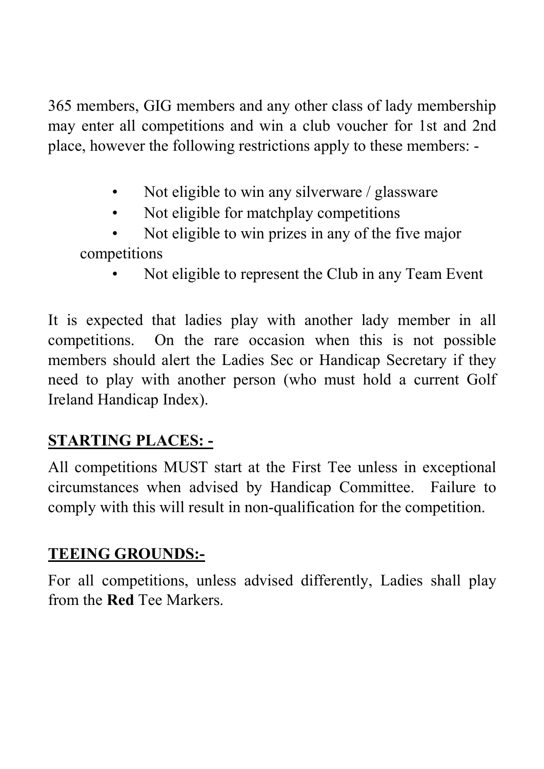365 members, GIG members and any other class of lady membership may enter all competitions and win a club voucher for 1st and 2nd place, however the following restrictions apply to these members: -

- Not eligible to win any silverware / glassware
- Not eligible for matchplay competitions
- Not eligible to win prizes in any of the five major competitions
	- Not eligible to represent the Club in any Team Event

It is expected that ladies play with another lady member in all competitions. On the rare occasion when this is not possible members should alert the Ladies Sec or Handicap Secretary if they need to play with another person (who must hold a current Golf Ireland Handicap Index).

# STARTING PLACES: -

All competitions MUST start at the First Tee unless in exceptional circumstances when advised by Handicap Committee. Failure to comply with this will result in non-qualification for the competition.

# TEEING GROUNDS:-

For all competitions, unless advised differently, Ladies shall play from the Red Tee Markers.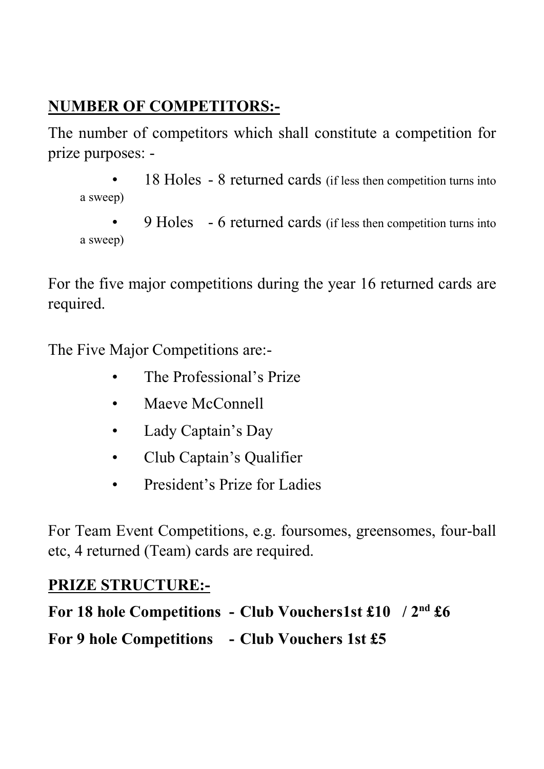# NUMBER OF COMPETITORS:-

The number of competitors which shall constitute a competition for prize purposes: -

- 18 Holes 8 returned cards (if less then competition turns into a sweep)
- 9 Holes 6 returned cards (if less then competition turns into a sweep)

For the five major competitions during the year 16 returned cards are required.

The Five Major Competitions are:-

- The Professional's Prize
- Maeve McConnell
- Lady Captain's Day
- Club Captain's Qualifier
- President's Prize for Ladies

For Team Event Competitions, e.g. foursomes, greensomes, four-ball etc, 4 returned (Team) cards are required.

# PRIZE STRUCTURE:-

For 18 hole Competitions - Club Vouchers1st £10 / 2nd £6

For 9 hole Competitions - Club Vouchers 1st £5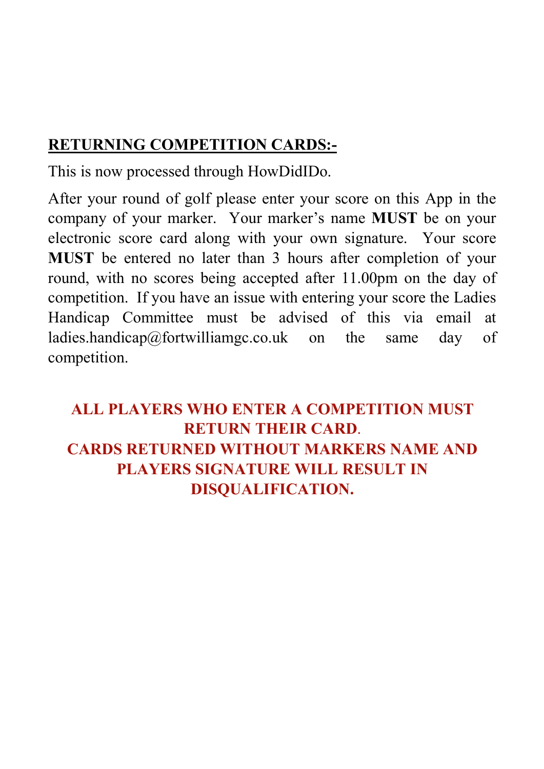### RETURNING COMPETITION CARDS:-

This is now processed through HowDidIDo.

After your round of golf please enter your score on this App in the company of your marker. Your marker's name MUST be on your electronic score card along with your own signature. Your score MUST be entered no later than 3 hours after completion of your round, with no scores being accepted after 11.00pm on the day of competition. If you have an issue with entering your score the Ladies Handicap Committee must be advised of this via email at ladies.handicap@fortwilliamgc.co.uk on the same day of competition.

ALL PLAYERS WHO ENTER A COMPETITION MUST RETURN THEIR CARD. CARDS RETURNED WITHOUT MARKERS NAME AND PLAYERS SIGNATURE WILL RESULT IN DISQUALIFICATION.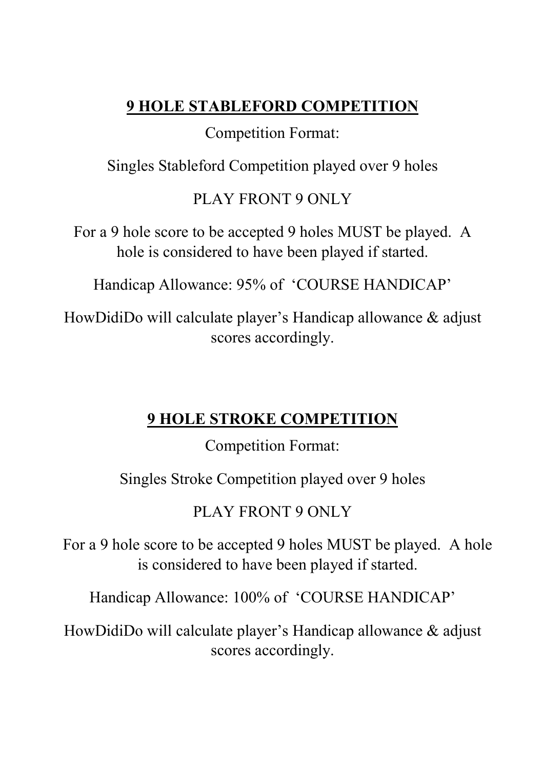## 9 HOLE STABLEFORD COMPETITION

#### Competition Format:

Singles Stableford Competition played over 9 holes

## PLAY FRONT 9 ONLY

For a 9 hole score to be accepted 9 holes MUST be played. A hole is considered to have been played if started.

Handicap Allowance: 95% of 'COURSE HANDICAP'

HowDidiDo will calculate player's Handicap allowance & adjust scores accordingly.

### 9 HOLE STROKE COMPETITION

Competition Format:

Singles Stroke Competition played over 9 holes

PLAY FRONT 9 ONLY

For a 9 hole score to be accepted 9 holes MUST be played. A hole is considered to have been played if started.

Handicap Allowance: 100% of 'COURSE HANDICAP'

HowDidiDo will calculate player's Handicap allowance & adjust scores accordingly.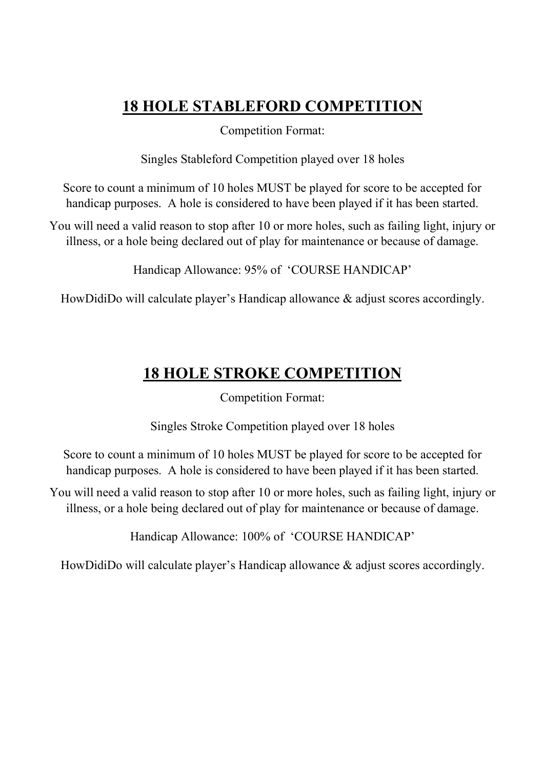#### 18 HOLE STABLEFORD COMPETITION

Competition Format:

Singles Stableford Competition played over 18 holes

Score to count a minimum of 10 holes MUST be played for score to be accepted for handicap purposes. A hole is considered to have been played if it has been started.

You will need a valid reason to stop after 10 or more holes, such as failing light, injury or illness, or a hole being declared out of play for maintenance or because of damage.

Handicap Allowance: 95% of 'COURSE HANDICAP'

HowDidiDo will calculate player's Handicap allowance & adjust scores accordingly.

## 18 HOLE STROKE COMPETITION

Competition Format:

Singles Stroke Competition played over 18 holes

Score to count a minimum of 10 holes MUST be played for score to be accepted for handicap purposes. A hole is considered to have been played if it has been started.

You will need a valid reason to stop after 10 or more holes, such as failing light, injury or illness, or a hole being declared out of play for maintenance or because of damage.

Handicap Allowance: 100% of 'COURSE HANDICAP'

HowDidiDo will calculate player's Handicap allowance & adjust scores accordingly.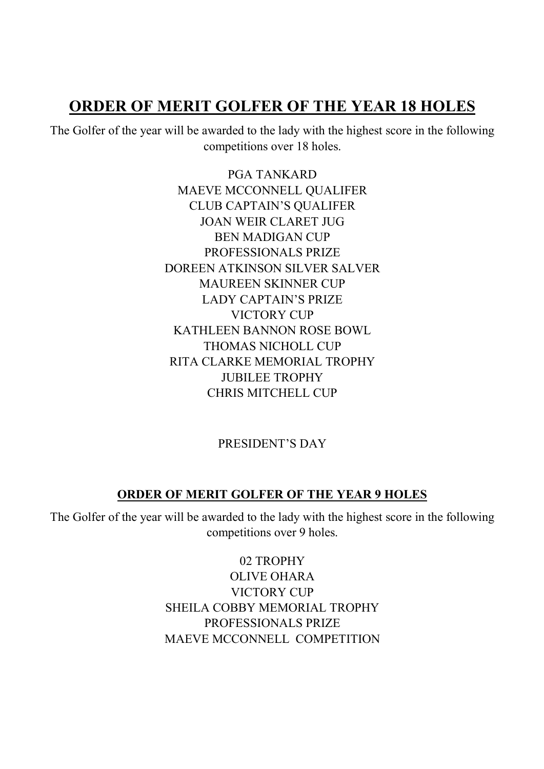#### ORDER OF MERIT GOLFER OF THE YEAR 18 HOLES

The Golfer of the year will be awarded to the lady with the highest score in the following competitions over 18 holes.

> PGA TANKARD MAEVE MCCONNELL QUALIFER CLUB CAPTAIN'S QUALIFER JOAN WEIR CLARET JUG BEN MADIGAN CUP PROFESSIONALS PRIZE DOREEN ATKINSON SILVER SALVER MAUREEN SKINNER CUP LADY CAPTAIN'S PRIZE VICTORY CUP KATHLEEN BANNON ROSE BOWL THOMAS NICHOLL CUP RITA CLARKE MEMORIAL TROPHY JUBILEE TROPHY CHRIS MITCHELL CUP

#### PRESIDENT'S DAY

#### ORDER OF MERIT GOLFER OF THE YEAR 9 HOLES

The Golfer of the year will be awarded to the lady with the highest score in the following competitions over 9 holes.

> 02 TROPHY OLIVE OHARA VICTORY CUP SHEILA COBBY MEMORIAL TROPHY PROFESSIONALS PRIZE MAEVE MCCONNELL COMPETITION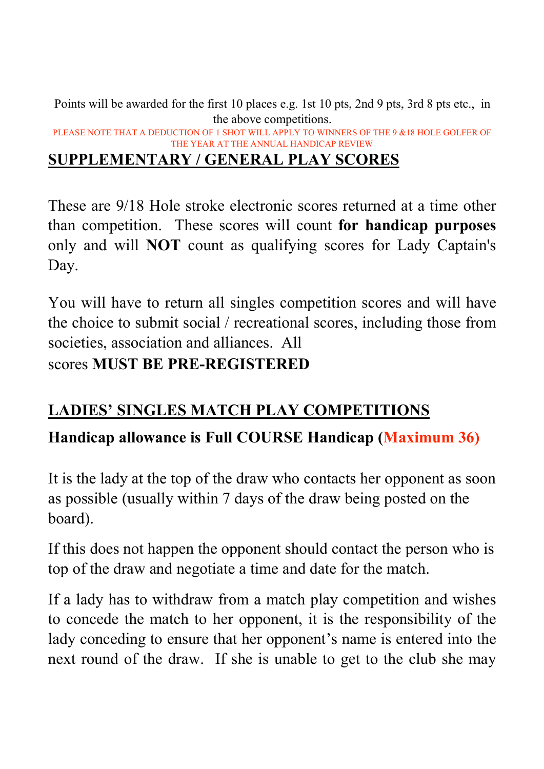Points will be awarded for the first 10 places e.g. 1st 10 pts, 2nd 9 pts, 3rd 8 pts etc., in the above competitions. PLEASE NOTE THAT A DEDUCTION OF 1 SHOT WILL APPLY TO WINNERS OF THE 9 &18 HOLE GOLFER OF THE YEAR AT THE ANNUAL HANDICAP REVIEW

#### SUPPLEMENTARY / GENERAL PLAY SCORES

These are 9/18 Hole stroke electronic scores returned at a time other than competition. These scores will count for handicap purposes only and will NOT count as qualifying scores for Lady Captain's Day.

You will have to return all singles competition scores and will have the choice to submit social / recreational scores, including those from societies, association and alliances. All scores MUST BE PRE-REGISTERED

# LADIES' SINGLES MATCH PLAY COMPETITIONS

### Handicap allowance is Full COURSE Handicap (Maximum 36)

It is the lady at the top of the draw who contacts her opponent as soon as possible (usually within 7 days of the draw being posted on the board).

If this does not happen the opponent should contact the person who is top of the draw and negotiate a time and date for the match.

If a lady has to withdraw from a match play competition and wishes to concede the match to her opponent, it is the responsibility of the lady conceding to ensure that her opponent's name is entered into the next round of the draw. If she is unable to get to the club she may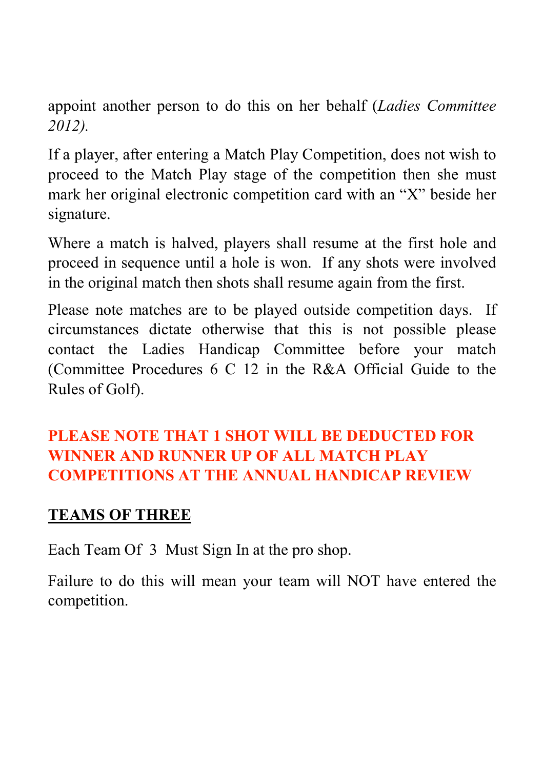appoint another person to do this on her behalf (Ladies Committee 2012).

If a player, after entering a Match Play Competition, does not wish to proceed to the Match Play stage of the competition then she must mark her original electronic competition card with an "X" beside her signature.

Where a match is halved, players shall resume at the first hole and proceed in sequence until a hole is won. If any shots were involved in the original match then shots shall resume again from the first.

Please note matches are to be played outside competition days. If circumstances dictate otherwise that this is not possible please contact the Ladies Handicap Committee before your match (Committee Procedures 6 C 12 in the R&A Official Guide to the Rules of Golf).

# PLEASE NOTE THAT 1 SHOT WILL BE DEDUCTED FOR WINNER AND RUNNER UP OF ALL MATCH PLAY COMPETITIONS AT THE ANNUAL HANDICAP REVIEW

#### TEAMS OF THREE

Each Team Of 3 Must Sign In at the pro shop.

Failure to do this will mean your team will NOT have entered the competition.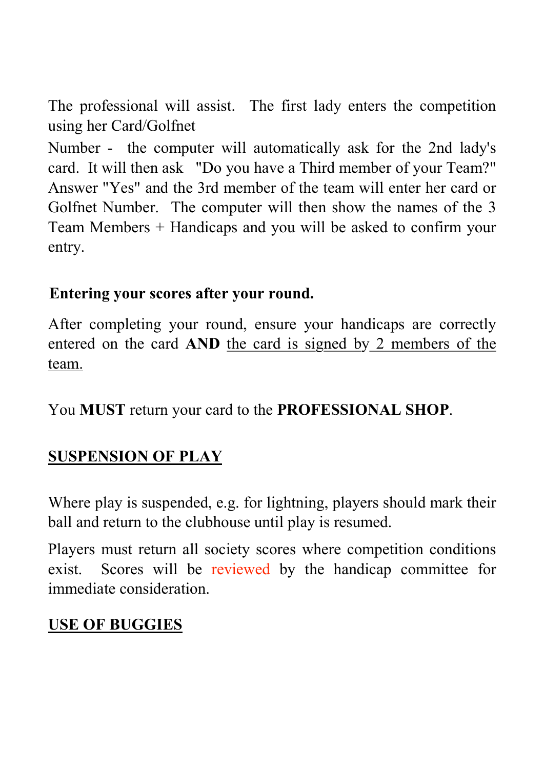The professional will assist. The first lady enters the competition using her Card/Golfnet

Number - the computer will automatically ask for the 2nd lady's card. It will then ask "Do you have a Third member of your Team?" Answer "Yes" and the 3rd member of the team will enter her card or Golfnet Number. The computer will then show the names of the 3 Team Members + Handicaps and you will be asked to confirm your entry.

#### Entering your scores after your round.

After completing your round, ensure your handicaps are correctly entered on the card AND the card is signed by 2 members of the team.

You MUST return your card to the PROFESSIONAL SHOP.

### SUSPENSION OF PLAY

Where play is suspended, e.g. for lightning, players should mark their ball and return to the clubhouse until play is resumed.

Players must return all society scores where competition conditions exist. Scores will be reviewed by the handicap committee for immediate consideration.

### USE OF BUGGIES